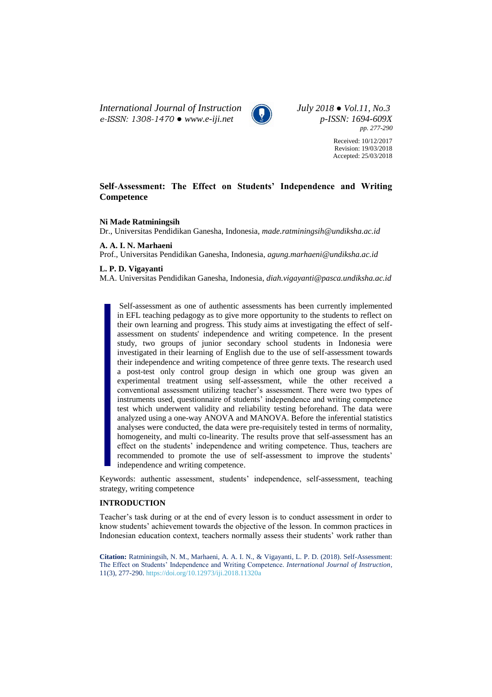*International Journal of Instruction July 2018 ● Vol.11, No.3 e-ISSN: 1308-1470 ● [www.e-iji.net](http://www.e-iji.net/) p-ISSN: 1694-609X*



*pp. 277-290*

Received: 10/12/2017 Revision: 19/03/2018 Accepted: 25/03/2018

# **Self-Assessment: The Effect on Students' Independence and Writing Competence**

#### **Ni Made Ratminingsih**

Dr., Universitas Pendidikan Ganesha, Indonesia, *made.ratminingsih@undiksha.ac.id*

### **A. A. I. N. Marhaeni**

Prof., Universitas Pendidikan Ganesha, Indonesia, *agung.marhaeni@undiksha.ac.id*

### **L. P. D. Vigayanti**

M.A. Universitas Pendidikan Ganesha, Indonesia, *diah.vigayanti@pasca.undiksha.ac.id*

Self-assessment as one of authentic assessments has been currently implemented in EFL teaching pedagogy as to give more opportunity to the students to reflect on their own learning and progress. This study aims at investigating the effect of selfassessment on students' independence and writing competence. In the present study, two groups of junior secondary school students in Indonesia were investigated in their learning of English due to the use of self-assessment towards their independence and writing competence of three genre texts. The research used a post-test only control group design in which one group was given an experimental treatment using self-assessment, while the other received a conventional assessment utilizing teacher's assessment. There were two types of instruments used, questionnaire of students' independence and writing competence test which underwent validity and reliability testing beforehand. The data were analyzed using a one-way ANOVA and MANOVA. Before the inferential statistics analyses were conducted, the data were pre-requisitely tested in terms of normality, homogeneity, and multi co-linearity. The results prove that self-assessment has an effect on the students' independence and writing competence. Thus, teachers are recommended to promote the use of self-assessment to improve the students' independence and writing competence.

Keywords: authentic assessment, students' independence, self-assessment, teaching strategy, writing competence

### **INTRODUCTION**

Teacher's task during or at the end of every lesson is to conduct assessment in order to know students' achievement towards the objective of the lesson. In common practices in Indonesian education context, teachers normally assess their students' work rather than

**Citation:** Ratminingsih, N. M., Marhaeni, A. A. I. N., & Vigayanti, L. P. D. (2018). Self-Assessment: The Effect on Students' Independence and Writing Competence. *International Journal of Instruction*, 11(3), 277-290. <https://doi.org/10.12973/iji.2018.11320a>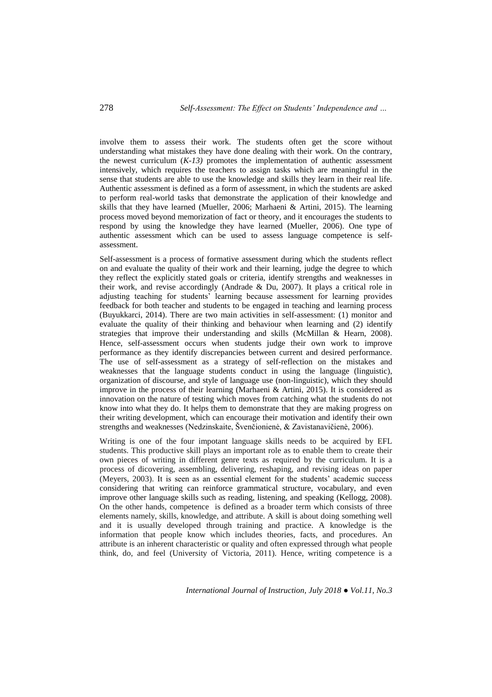involve them to assess their work. The students often get the score without understanding what mistakes they have done dealing with their work. On the contrary, the newest curriculum  $(K-13)$  promotes the implementation of authentic assessment intensively, which requires the teachers to assign tasks which are meaningful in the sense that students are able to use the knowledge and skills they learn in their real life. Authentic assessment is defined as a form of assessment, in which the students are asked to perform real-world tasks that demonstrate the application of their knowledge and skills that they have learned (Mueller, 2006; Marhaeni & Artini, 2015). The learning process moved beyond memorization of fact or theory, and it encourages the students to respond by using the knowledge they have learned (Mueller, 2006). One type of authentic assessment which can be used to assess language competence is selfassessment.

Self-assessment is a process of formative assessment during which the students reflect on and evaluate the quality of their work and their learning, judge the degree to which they reflect the explicitly stated goals or criteria, identify strengths and weaknesses in their work, and revise accordingly (Andrade & Du, 2007). It plays a critical role in adjusting teaching for students' learning because assessment for learning provides feedback for both teacher and students to be engaged in teaching and learning process (Buyukkarci, 2014). There are two main activities in self-assessment: (1) monitor and evaluate the quality of their thinking and behaviour when learning and (2) identify strategies that improve their understanding and skills (McMillan & Hearn, 2008). Hence, self-assessment occurs when students judge their own work to improve performance as they identify discrepancies between current and desired performance. The use of self-assessment as a strategy of self-reflection on the mistakes and weaknesses that the language students conduct in using the language (linguistic), organization of discourse, and style of language use (non-linguistic), which they should improve in the process of their learning (Marhaeni & Artini, 2015). It is considered as innovation on the nature of testing which moves from catching what the students do not know into what they do. It helps them to demonstrate that they are making progress on their writing development, which can encourage their motivation and identify their own strengths and weaknesses (Nedzinskaite, Švenčionienė, & Zavistanavičienė, 2006).

Writing is one of the four impotant language skills needs to be acquired by EFL students. This productive skill plays an important role as to enable them to create their own pieces of writing in different genre texts as required by the curriculum. It is a process of dicovering, assembling, delivering, reshaping, and revising ideas on paper (Meyers, 2003). It is seen as an essential element for the students' academic success considering that writing can reinforce grammatical structure, vocabulary, and even improve other language skills such as reading, listening, and speaking (Kellogg, 2008). On the other hands, competence is defined as a broader term which consists of three elements namely, skills, knowledge, and attribute. A skill is about doing something well and it is usually developed through training and practice. A knowledge is the information that people know which includes theories, facts, and procedures. An attribute is an inherent characteristic or quality and often expressed through what people think, do, and feel (University of Victoria, 2011). Hence, writing competence is a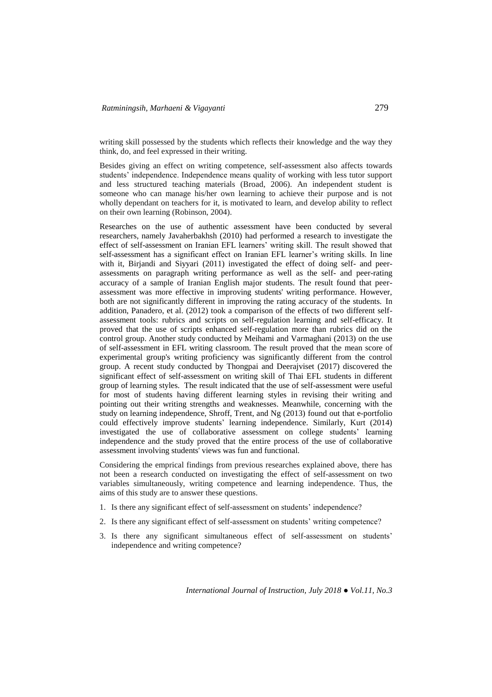writing skill possessed by the students which reflects their knowledge and the way they think, do, and feel expressed in their writing.

Besides giving an effect on writing competence, self-assessment also affects towards students' independence. Independence means quality of working with less tutor support and less structured teaching materials (Broad, 2006). An independent student is someone who can manage his/her own learning to achieve their purpose and is not wholly dependant on teachers for it, is motivated to learn, and develop ability to reflect on their own learning (Robinson, 2004).

Researches on the use of authentic assessment have been conducted by several researchers, namely Javaherbakhsh (2010) had performed a research to investigate the effect of self-assessment on Iranian EFL learners' writing skill. The result showed that self-assessment has a significant effect on Iranian EFL learner's writing skills. In line with it, Birjandi and Siyyari (2011) investigated the effect of doing self- and peerassessments on paragraph writing performance as well as the self- and peer-rating accuracy of a sample of Iranian English major students. The result found that peerassessment was more effective in improving students' writing performance. However, both are not significantly different in improving the rating accuracy of the students. In addition, Panadero, et al. (2012) took a comparison of the effects of two different selfassessment tools: rubrics and scripts on self-regulation learning and self-efficacy. It proved that the use of scripts enhanced self-regulation more than rubrics did on the control group. Another study conducted by Meihami and Varmaghani (2013) on the use of self-assessment in EFL writing classroom. The result proved that the mean score of experimental group's writing proficiency was significantly different from the control group. A recent study conducted by Thongpai and Deerajviset (2017) discovered the significant effect of self-assessment on writing skill of Thai EFL students in different group of learning styles. The result indicated that the use of self-assessment were useful for most of students having different learning styles in revising their writing and pointing out their writing strengths and weaknesses. Meanwhile, concerning with the study on learning independence, Shroff, Trent, and Ng (2013) found out that e-portfolio could effectively improve students' learning independence. Similarly, Kurt (2014) investigated the use of collaborative assessment on college students' learning independence and the study proved that the entire process of the use of collaborative assessment involving students' views was fun and functional.

Considering the emprical findings from previous researches explained above, there has not been a research conducted on investigating the effect of self-assessment on two variables simultaneously, writing competence and learning independence. Thus, the aims of this study are to answer these questions.

- 1. Is there any significant effect of self-assessment on students' independence?
- 2. Is there any significant effect of self-assessment on students' writing competence?
- 3. Is there any significant simultaneous effect of self-assessment on students' independence and writing competence?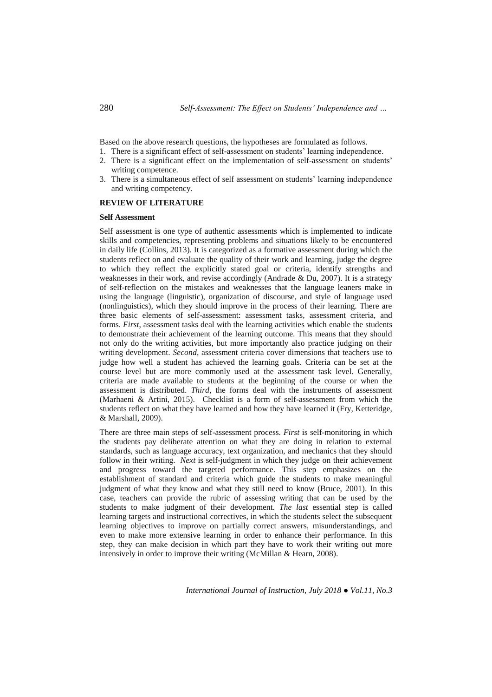Based on the above research questions, the hypotheses are formulated as follows.

- 1. There is a significant effect of self-assessment on students' learning independence.
- 2. There is a significant effect on the implementation of self-assessment on students' writing competence.
- 3. There is a simultaneous effect of self assessment on students' learning independence and writing competency.

## **REVIEW OF LITERATURE**

#### **Self Assessment**

Self assessment is one type of authentic assessments which is implemented to indicate skills and competencies, representing problems and situations likely to be encountered in daily life (Collins, 2013). It is categorized as a formative assessment during which the students reflect on and evaluate the quality of their work and learning, judge the degree to which they reflect the explicitly stated goal or criteria, identify strengths and weaknesses in their work, and revise accordingly (Andrade & Du, 2007). It is a strategy of self-reflection on the mistakes and weaknesses that the language leaners make in using the language (linguistic), organization of discourse, and style of language used (nonlinguistics), which they should improve in the process of their learning. There are three basic elements of self-assessment: assessment tasks, assessment criteria, and forms. *First*, assessment tasks deal with the learning activities which enable the students to demonstrate their achievement of the learning outcome. This means that they should not only do the writing activities, but more importantly also practice judging on their writing development. *Second*, assessment criteria cover dimensions that teachers use to judge how well a student has achieved the learning goals. Criteria can be set at the course level but are more commonly used at the assessment task level. Generally, criteria are made available to students at the beginning of the course or when the assessment is distributed. *Third*, the forms deal with the instruments of assessment (Marhaeni & Artini, 2015). Checklist is a form of self-assessment from which the students reflect on what they have learned and how they have learned it (Fry, Ketteridge, & Marshall, 2009).

There are three main steps of self-assessment process. *First* is self-monitoring in which the students pay deliberate attention on what they are doing in relation to external standards, such as language accuracy, text organization, and mechanics that they should follow in their writing. *Next* is self-judgment in which they judge on their achievement and progress toward the targeted performance. This step emphasizes on the establishment of standard and criteria which guide the students to make meaningful judgment of what they know and what they still need to know (Bruce, 2001). In this case, teachers can provide the rubric of assessing writing that can be used by the students to make judgment of their development. *The last* essential step is called learning targets and instructional correctives, in which the students select the subsequent learning objectives to improve on partially correct answers, misunderstandings, and even to make more extensive learning in order to enhance their performance. In this step, they can make decision in which part they have to work their writing out more intensively in order to improve their writing (McMillan & Hearn, 2008).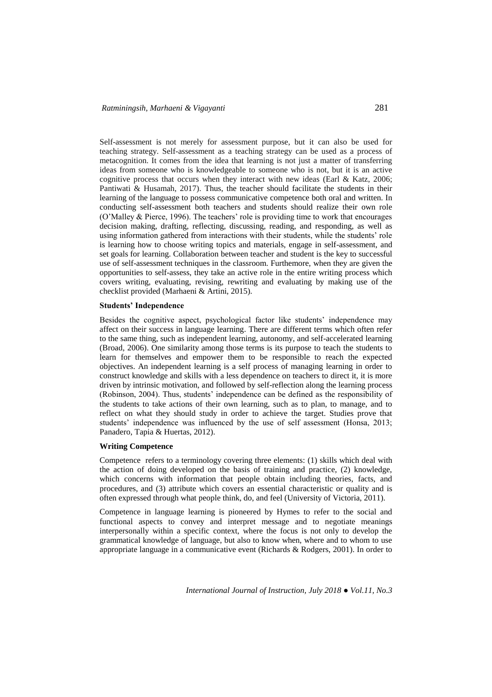Self-assessment is not merely for assessment purpose, but it can also be used for teaching strategy. Self-assessment as a teaching strategy can be used as a process of metacognition. It comes from the idea that learning is not just a matter of transferring ideas from someone who is knowledgeable to someone who is not, but it is an active cognitive process that occurs when they interact with new ideas (Earl & Katz, 2006; Pantiwati & Husamah, 2017). Thus, the teacher should facilitate the students in their learning of the language to possess communicative competence both oral and written. In conducting self-assessment both teachers and students should realize their own role (O'Malley & Pierce, 1996). The teachers' role is providing time to work that encourages decision making, drafting, reflecting, discussing, reading, and responding, as well as using information gathered from interactions with their students, while the students' role is learning how to choose writing topics and materials, engage in self-assessment, and set goals for learning. Collaboration between teacher and student is the key to successful use of self-assessment techniques in the classroom. Furthemore, when they are given the opportunities to self-assess, they take an active role in the entire writing process which covers writing, evaluating, revising, rewriting and evaluating by making use of the checklist provided (Marhaeni & Artini, 2015).

#### **Students' Independence**

Besides the cognitive aspect, psychological factor like students' independence may affect on their success in language learning. There are different terms which often refer to the same thing, such as independent learning, autonomy, and self-accelerated learning (Broad, 2006). One similarity among those terms is its purpose to teach the students to learn for themselves and empower them to be responsible to reach the expected objectives. An independent learning is a self process of managing learning in order to construct knowledge and skills with a less dependence on teachers to direct it, it is more driven by intrinsic motivation, and followed by self-reflection along the learning process (Robinson, 2004). Thus, students' independence can be defined as the responsibility of the students to take actions of their own learning, such as to plan, to manage, and to reflect on what they should study in order to achieve the target. Studies prove that students' independence was influenced by the use of self assessment (Honsa, 2013; Panadero, Tapia & Huertas, 2012).

### **Writing Competence**

Competence refers to a terminology covering three elements: (1) skills which deal with the action of doing developed on the basis of training and practice, (2) knowledge, which concerns with information that people obtain including theories, facts, and procedures, and (3) attribute which covers an essential characteristic or quality and is often expressed through what people think, do, and feel (University of Victoria, 2011).

Competence in language learning is pioneered by Hymes to refer to the social and functional aspects to convey and interpret message and to negotiate meanings interpersonally within a specific context, where the focus is not only to develop the grammatical knowledge of language, but also to know when, where and to whom to use appropriate language in a communicative event (Richards & Rodgers, 2001). In order to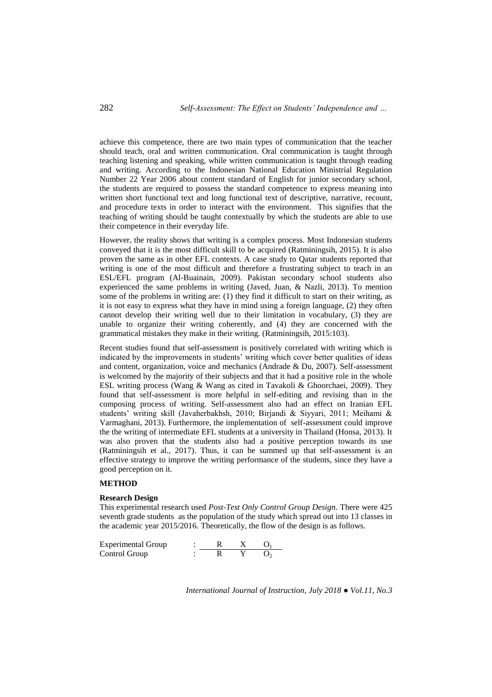achieve this competence, there are two main types of communication that the teacher should teach, oral and written communication. Oral communication is taught through teaching listening and speaking, while written communication is taught through reading and writing. According to the Indonesian National Education Ministrial Regulation Number 22 Year 2006 about content standard of English for junior secondary school, the students are required to possess the standard competence to express meaning into written short functional text and long functional text of descriptive, narrative, recount, and procedure texts in order to interact with the environment. This signifies that the teaching of writing should be taught contextually by which the students are able to use their competence in their everyday life.

However, the reality shows that writing is a complex process. Most Indonesian students conveyed that it is the most difficult skill to be acquired (Ratminingsih, 2015). It is also proven the same as in other EFL contexts. A case study to Qatar students reported that writing is one of the most difficult and therefore a frustrating subject to teach in an ESL/EFL program (Al-Buainain, 2009). Pakistan secondary school students also experienced the same problems in writing (Javed, Juan, & Nazli, 2013). To mention some of the problems in writing are: (1) they find it difficult to start on their writing, as it is not easy to express what they have in mind using a foreign language, (2) they often cannot develop their writing well due to their limitation in vocabulary, (3) they are unable to organize their writing coherently, and (4) they are concerned with the grammatical mistakes they make in their writing. (Ratminingsih, 2015:103).

Recent studies found that self-assessment is positively correlated with writing which is indicated by the improvements in students' writing which cover better qualities of ideas and content, organization, voice and mechanics (Andrade & Du, 2007). Self-assessment is welcomed by the majority of their subjects and that it had a positive role in the whole ESL writing process (Wang & Wang as cited in Tavakoli & Ghoorchaei, 2009). They found that self-assessment is more helpful in self-editing and revising than in the composing process of writing. Self-assessment also had an effect on Iranian EFL students' writing skill (Javaherbakhsh, 2010; Birjandi & Siyyari, 2011; Meihami & Varmaghani, 2013). Furthermore, the implementation of self-assessment could improve the the writing of intermediate EFL students at a university in Thailand (Honsa, 2013). It was also proven that the students also had a positive perception towards its use (Ratminingsih et al., 2017). Thus, it can be summed up that self-assessment is an effective strategy to improve the writing performance of the students, since they have a good perception on it.

#### **METHOD**

#### **Research Design**

This experimental research used *Post-Test Only Control Group Design*. There were 425 seventh grade students as the population of the study which spread out into 13 classes in the academic year 2015/2016. Theoretically, the flow of the design is as follows.

| <b>Experimental Group</b> |  |  |
|---------------------------|--|--|
| Control Group             |  |  |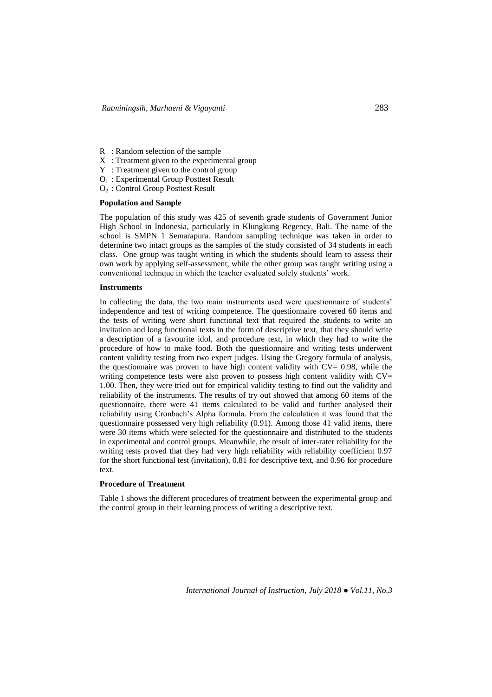- R : Random selection of the sample
- X : Treatment given to the experimental group
- Y : Treatment given to the control group
- O<sup>1</sup> : Experimental Group Posttest Result
- O<sup>2</sup> : Control Group Posttest Result

### **Population and Sample**

The population of this study was 425 of seventh grade students of Government Junior High School in Indonesia, particularly in Klungkung Regency, Bali. The name of the school is SMPN 1 Semarapura. Random sampling technique was taken in order to determine two intact groups as the samples of the study consisted of 34 students in each class. One group was taught writing in which the students should learn to assess their own work by applying self-assessment, while the other group was taught writing using a conventional technque in which the teacher evaluated solely students' work.

#### **Instruments**

In collecting the data, the two main instruments used were questionnaire of students' independence and test of writing competence. The questionnaire covered 60 items and the tests of writing were short functional text that required the students to write an invitation and long functional texts in the form of descriptive text, that they should write a description of a favourite idol, and procedure text, in which they had to write the procedure of how to make food. Both the questionnaire and writing tests underwent content validity testing from two expert judges. Using the Gregory formula of analysis, the questionnaire was proven to have high content validity with  $CV = 0.98$ , while the writing competence tests were also proven to possess high content validity with  $CV=$ 1.00. Then, they were tried out for empirical validity testing to find out the validity and reliability of the instruments. The results of try out showed that among 60 items of the questionnaire, there were 41 items calculated to be valid and further analysed their reliability using Cronbach's Alpha formula. From the calculation it was found that the questionnaire possessed very high reliability (0.91). Among those 41 valid items, there were 30 items which were selected for the questionnaire and distributed to the students in experimental and control groups. Meanwhile, the result of inter-rater reliability for the writing tests proved that they had very high reliability with reliability coefficient 0.97 for the short functional test (invitation), 0.81 for descriptive text, and 0.96 for procedure text.

### **Procedure of Treatment**

Table 1 shows the different procedures of treatment between the experimental group and the control group in their learning process of writing a descriptive text.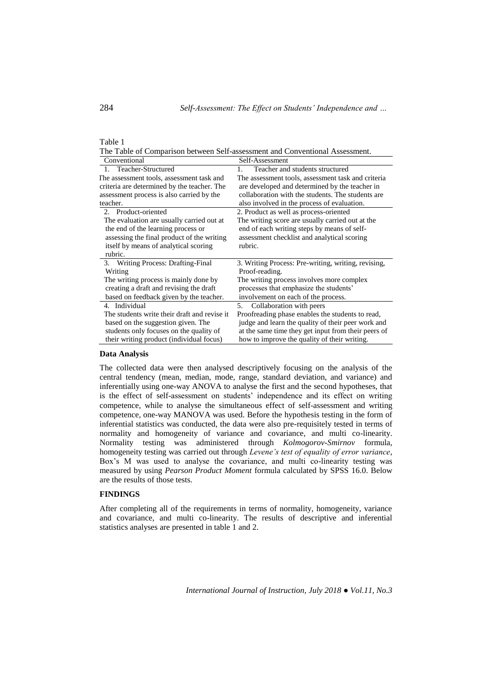Table 1

The Table of Comparison between Self-assessment and Conventional Assessment.

| Conventional                                 | Self-Assessment                                     |
|----------------------------------------------|-----------------------------------------------------|
| 1. Teacher-Structured                        | Teacher and students structured                     |
| The assessment tools, assessment task and    | The assessment tools, assessment task and criteria  |
| criteria are determined by the teacher. The  | are developed and determined by the teacher in      |
| assessment process is also carried by the    | collaboration with the students. The students are   |
| teacher.                                     | also involved in the process of evaluation.         |
| 2. Product-oriented                          | 2. Product as well as process-oriented              |
| The evaluation are usually carried out at    | The writing score are usually carried out at the    |
| the end of the learning process or           | end of each writing steps by means of self-         |
| assessing the final product of the writing   | assessment checklist and analytical scoring         |
| itself by means of analytical scoring        | rubric.                                             |
| rubric.                                      |                                                     |
| 3. Writing Process: Drafting-Final           | 3. Writing Process: Pre-writing, writing, revising, |
| Writing                                      | Proof-reading.                                      |
| The writing process is mainly done by        | The writing process involves more complex           |
| creating a draft and revising the draft      | processes that emphasize the students'              |
| based on feedback given by the teacher.      | involvement on each of the process.                 |
| 4. Individual                                | Collaboration with peers<br>5.                      |
| The students write their draft and revise it | Proofreading phase enables the students to read,    |
| based on the suggestion given. The           | judge and learn the quality of their peer work and  |
| students only focuses on the quality of      | at the same time they get input from their peers of |
| their writing product (individual focus)     | how to improve the quality of their writing.        |

### **Data Analysis**

The collected data were then analysed descriptively focusing on the analysis of the central tendency (mean, median, mode, range, standard deviation, and variance) and inferentially using one-way ANOVA to analyse the first and the second hypotheses, that is the effect of self-assessment on students' independence and its effect on writing competence, while to analyse the simultaneous effect of self-assessment and writing competence, one-way MANOVA was used. Before the hypothesis testing in the form of inferential statistics was conducted, the data were also pre-requisitely tested in terms of normality and homogeneity of variance and covariance, and multi co-linearity. Normality testing was administered through *Kolmogorov-Smirnov* formula, homogeneity testing was carried out through *Levene's test of equality of error variance*, Box's M was used to analyse the covariance, and multi co-linearity testing was measured by using *Pearson Product Moment* formula calculated by SPSS 16.0. Below are the results of those tests.

### **FINDINGS**

After completing all of the requirements in terms of normality, homogeneity, variance and covariance, and multi co-linearity. The results of descriptive and inferential statistics analyses are presented in table 1 and 2.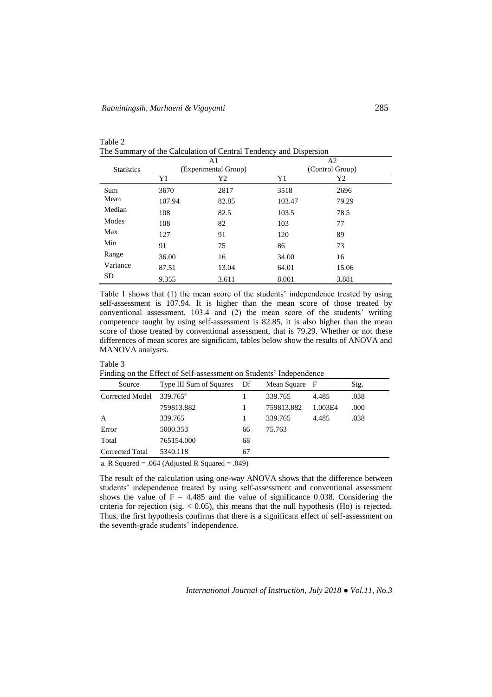| The Summary of the Calculation of Central Tendency and Dispersion |                            |       |                       |       |  |  |
|-------------------------------------------------------------------|----------------------------|-------|-----------------------|-------|--|--|
| <b>Statistics</b>                                                 | A1<br>(Experimental Group) |       | A2<br>(Control Group) |       |  |  |
|                                                                   | Y1                         | Y2    | Y1                    | Y2    |  |  |
| Sum                                                               | 3670                       | 2817  | 3518                  | 2696  |  |  |
| Mean                                                              | 107.94                     | 82.85 | 103.47                | 79.29 |  |  |
| Median                                                            | 108                        | 82.5  | 103.5                 | 78.5  |  |  |
| Modes                                                             | 108                        | 82    | 103                   | 77    |  |  |
| Max                                                               | 127                        | 91    | 120                   | 89    |  |  |
| Min                                                               | 91                         | 75    | 86                    | 73    |  |  |
| Range                                                             | 36.00                      | 16    | 34.00                 | 16    |  |  |
| Variance                                                          | 87.51                      | 13.04 | 64.01                 | 15.06 |  |  |
| <b>SD</b>                                                         | 9.355                      | 3.611 | 8.001                 | 3.881 |  |  |

Table 1 shows that (1) the mean score of the students' independence treated by using self-assessment is 107.94. It is higher than the mean score of those treated by conventional assessment, 103.4 and (2) the mean score of the students' writing competence taught by using self-assessment is 82.85, it is also higher than the mean score of those treated by conventional assessment, that is 79.29. Whether or not these differences of mean scores are significant, tables below show the results of ANOVA and MANOVA analyses.

#### Table 3

Table 2

Finding on the Effect of Self-assessment on Students' Independence

| Source                                              | Type III Sum of Squares | Df | Mean Square F |         | Sig. |  |
|-----------------------------------------------------|-------------------------|----|---------------|---------|------|--|
| Corrected Model                                     | 339.765 <sup>a</sup>    |    | 339.765       | 4.485   | .038 |  |
|                                                     | 759813.882              |    | 759813.882    | 1.003E4 | .000 |  |
| $\mathsf{A}$                                        | 339.765                 |    | 339.765       | 4.485   | .038 |  |
| Error                                               | 5000.353                | 66 | 75.763        |         |      |  |
| Total                                               | 765154.000              | 68 |               |         |      |  |
| Corrected Total                                     | 5340.118                | 67 |               |         |      |  |
| $\Omega$ P Squared – 064 (Adjusted P Squared – 040) |                         |    |               |         |      |  |

a. R Squared = .064 (Adjusted R Squared = .049)

The result of the calculation using one-way ANOVA shows that the difference between students' independence treated by using self-assessment and conventional assessment shows the value of  $F = 4.485$  and the value of significance 0.038. Considering the criteria for rejection (sig.  $< 0.05$ ), this means that the null hypothesis (Ho) is rejected. Thus, the first hypothesis confirms that there is a significant effect of self-assessment on the seventh-grade students' independence.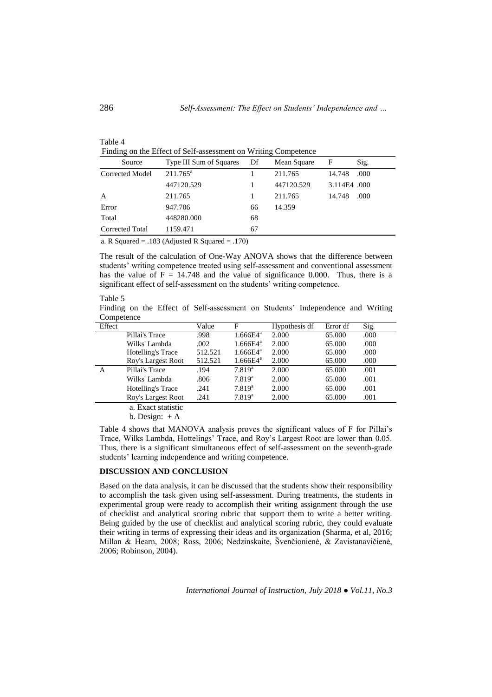| Source          | Type III Sum of Squares | Df | Mean Square | F            | Sig. |
|-----------------|-------------------------|----|-------------|--------------|------|
| Corrected Model | $211.765^a$             |    | 211.765     | 14.748       | .000 |
|                 | 447120.529              |    | 447120.529  | 3.114E4 .000 |      |
| A               | 211.765                 |    | 211.765     | 14.748       | .000 |
| Error           | 947.706                 | 66 | 14.359      |              |      |
| Total           | 448280.000              | 68 |             |              |      |
| Corrected Total | 1159.471                | 67 |             |              |      |

Finding on the Effect of Self-assessment on Writing Competence

a. R Squared = .183 (Adjusted R Squared = .170)

The result of the calculation of One-Way ANOVA shows that the difference between students' writing competence treated using self-assessment and conventional assessment has the value of  $F = 14.748$  and the value of significance 0.000. Thus, there is a significant effect of self-assessment on the students' writing competence.

#### Table 5

Finding on the Effect of Self-assessment on Students' Independence and Writing **Competence** 

| Effect |                    | Value   | F           | Hypothesis df | Error df | Sig. |
|--------|--------------------|---------|-------------|---------------|----------|------|
|        | Pillai's Trace     | .998    | $1.666E4^a$ | 2.000         | 65.000   | .000 |
|        | Wilks' Lambda      | .002    | $1.666E4^a$ | 2.000         | 65.000   | .000 |
|        | Hotelling's Trace  | 512.521 | $1.666E4^a$ | 2.000         | 65.000   | .000 |
|        | Roy's Largest Root | 512.521 | $1.666E4^a$ | 2.000         | 65.000   | .000 |
| A      | Pillai's Trace     | .194    | $7.819^{a}$ | 2.000         | 65.000   | .001 |
|        | Wilks' Lambda      | .806    | $7.819^{a}$ | 2.000         | 65.000   | .001 |
|        | Hotelling's Trace  | .241    | $7.819^{a}$ | 2.000         | 65.000   | .001 |
|        | Roy's Largest Root | .241    | $7.819^{a}$ | 2.000         | 65.000   | .001 |
|        | a. Exact statistic |         |             |               |          |      |

b. Design:  $+A$ 

Table 4 shows that MANOVA analysis proves the significant values of F for Pillai's Trace, Wilks Lambda, Hottelings' Trace, and Roy's Largest Root are lower than 0.05. Thus, there is a significant simultaneous effect of self-assessment on the seventh-grade students' learning independence and writing competence.

#### **DISCUSSION AND CONCLUSION**

Based on the data analysis, it can be discussed that the students show their responsibility to accomplish the task given using self-assessment. During treatments, the students in experimental group were ready to accomplish their writing assignment through the use of checklist and analytical scoring rubric that support them to write a better writing. Being guided by the use of checklist and analytical scoring rubric, they could evaluate their writing in terms of expressing their ideas and its organization (Sharma, et al, 2016; Millan & Hearn, 2008; Ross, 2006; Nedzinskaite, Švenčionienė, & Zavistanavičienė, 2006; Robinson, 2004).

Table 4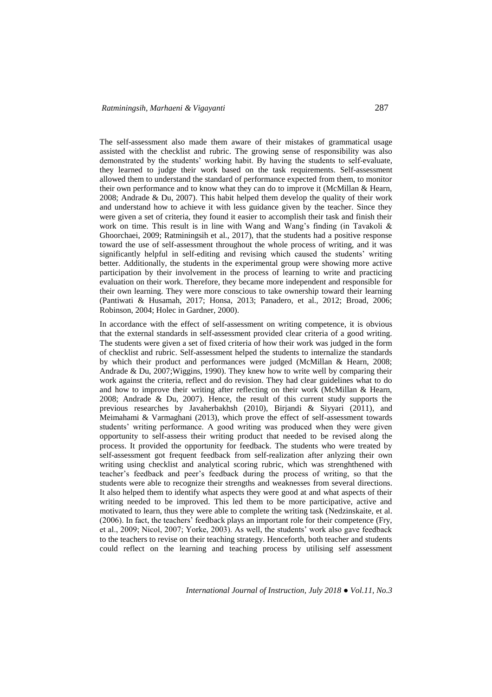The self-assessment also made them aware of their mistakes of grammatical usage assisted with the checklist and rubric. The growing sense of responsibility was also demonstrated by the students' working habit. By having the students to self-evaluate, they learned to judge their work based on the task requirements. Self-assessment allowed them to understand the standard of performance expected from them, to monitor their own performance and to know what they can do to improve it (McMillan & Hearn, 2008; Andrade & Du, 2007). This habit helped them develop the quality of their work and understand how to achieve it with less guidance given by the teacher. Since they were given a set of criteria, they found it easier to accomplish their task and finish their work on time. This result is in line with Wang and Wang's finding (in Tavakoli  $\&$ Ghoorchaei, 2009; Ratminingsih et al., 2017), that the students had a positive response toward the use of self-assessment throughout the whole process of writing, and it was significantly helpful in self-editing and revising which caused the students' writing better. Additionally, the students in the experimental group were showing more active participation by their involvement in the process of learning to write and practicing evaluation on their work. Therefore, they became more independent and responsible for their own learning. They were more conscious to take ownership toward their learning (Pantiwati & Husamah, 2017; Honsa, 2013; Panadero, et al., 2012; Broad, 2006; Robinson, 2004; Holec in Gardner, 2000).

In accordance with the effect of self-assessment on writing competence, it is obvious that the external standards in self-assessment provided clear criteria of a good writing. The students were given a set of fixed criteria of how their work was judged in the form of checklist and rubric. Self-assessment helped the students to internalize the standards by which their product and performances were judged (McMillan & Hearn, 2008; Andrade & Du, 2007;Wiggins, 1990). They knew how to write well by comparing their work against the criteria, reflect and do revision. They had clear guidelines what to do and how to improve their writing after reflecting on their work (McMillan & Hearn, 2008; Andrade & Du, 2007). Hence, the result of this current study supports the previous researches by Javaherbakhsh (2010), Birjandi & Siyyari (2011), and Meimahami & Varmaghani (2013), which prove the effect of self-assessment towards students' writing performance. A good writing was produced when they were given opportunity to self-assess their writing product that needed to be revised along the process. It provided the opportunity for feedback. The students who were treated by self-assessment got frequent feedback from self-realization after anlyzing their own writing using checklist and analytical scoring rubric, which was strenghthened with teacher's feedback and peer's feedback during the process of writing, so that the students were able to recognize their strengths and weaknesses from several directions. It also helped them to identify what aspects they were good at and what aspects of their writing needed to be improved. This led them to be more participative, active and motivated to learn, thus they were able to complete the writing task (Nedzinskaite, et al. (2006). In fact, the teachers' feedback plays an important role for their competence (Fry, et al., 2009; Nicol, 2007; Yorke, 2003). As well, the students' work also gave feedback to the teachers to revise on their teaching strategy. Henceforth, both teacher and students could reflect on the learning and teaching process by utilising self assessment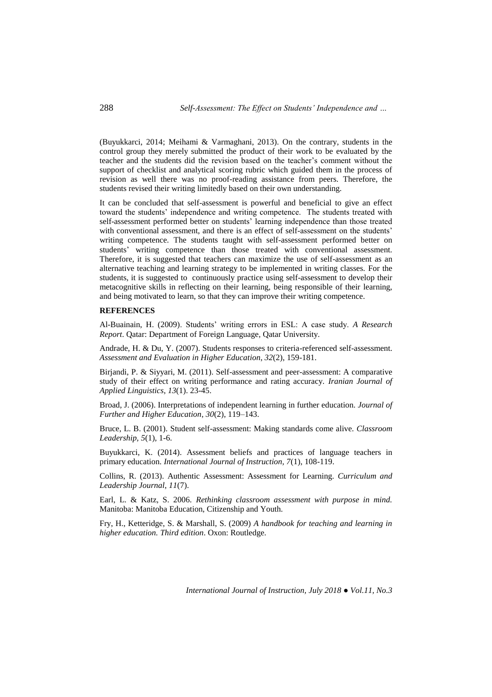(Buyukkarci, 2014; Meihami & Varmaghani, 2013). On the contrary, students in the control group they merely submitted the product of their work to be evaluated by the teacher and the students did the revision based on the teacher's comment without the support of checklist and analytical scoring rubric which guided them in the process of revision as well there was no proof-reading assistance from peers. Therefore, the students revised their writing limitedly based on their own understanding.

It can be concluded that self-assessment is powerful and beneficial to give an effect toward the students' independence and writing competence. The students treated with self-assessment performed better on students' learning independence than those treated with conventional assessment, and there is an effect of self-assessment on the students' writing competence. The students taught with self-assessment performed better on students' writing competence than those treated with conventional assessment. Therefore, it is suggested that teachers can maximize the use of self-assessment as an alternative teaching and learning strategy to be implemented in writing classes. For the students, it is suggested to continuously practice using self-assessment to develop their metacognitive skills in reflecting on their learning, being responsible of their learning, and being motivated to learn, so that they can improve their writing competence.

#### **REFERENCES**

Al-Buainain, H. (2009). Students' writing errors in ESL: A case study. *A Research Report*. Qatar: Department of Foreign Language, Qatar University.

Andrade, H. & Du, Y. (2007). Students responses to criteria-referenced self-assessment. *Assessment and Evaluation in Higher Education*, *32*(2), 159-181.

Birjandi, P. & Siyyari, M. (2011). Self-assessment and peer-assessment: A comparative study of their effect on writing performance and rating accuracy. *Iranian Journal of Applied Linguistics*, *13*(1). 23-45.

Broad, J. (2006). Interpretations of independent learning in further education. *Journal of Further and Higher Education*, *30*(2), 119–143.

Bruce, L. B. (2001). Student self-assessment: Making standards come alive. *Classroom Leadership, 5*(1), 1-6.

Buyukkarci, K. (2014). Assessment beliefs and practices of language teachers in primary education. *International Journal of Instruction, 7*(1), 108-119.

Collins, R. (2013). Authentic Assessment: Assessment for Learning. *Curriculum and Leadership Journal*, *11*(7).

Earl, L. & Katz, S. 2006*. Rethinking classroom assessment with purpose in mind.*  Manitoba: Manitoba Education, Citizenship and Youth.

Fry, H., Ketteridge, S. & Marshall, S. (2009) *A handbook for teaching and learning in higher education. Third edition*. Oxon: Routledge.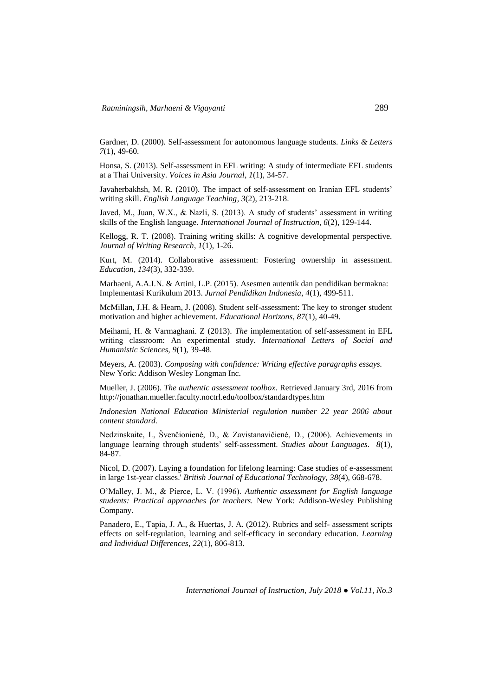Gardner, D. (2000). Self-assessment for autonomous language students. *Links & Letters 7*(1), 49-60.

Honsa, S. (2013). Self-assessment in EFL writing: A study of intermediate EFL students at a Thai University. *Voices in Asia Journal*, *1*(1), 34-57.

Javaherbakhsh, M. R. (2010). The impact of self-assessment on Iranian EFL students' writing skill. *English Language Teaching, 3*(2), 213-218.

Javed, M., Juan, W.X., & Nazli, S. (2013). A study of students' assessment in writing skills of the English language. *International Journal of Instruction*, *6*(2), 129-144.

Kellogg, R. T. (2008). Training writing skills: A cognitive developmental perspective. *Journal of Writing Research*, *1*(1), 1-26.

Kurt, M. (2014). Collaborative assessment: Fostering ownership in assessment. *Education, 134*(3), 332-339.

Marhaeni, A.A.I.N. & Artini, L.P. (2015). Asesmen autentik dan pendidikan bermakna: Implementasi Kurikulum 2013. *Jurnal Pendidikan Indonesia*, *4*(1), 499-511.

McMillan, J.H. & Hearn, J. (2008). Student self-assessment: The key to stronger student motivation and higher achievement. *Educational Horizons, 87*(1), 40-49.

Meihami, H. & Varmaghani. Z (2013). *The* implementation of self-assessment in EFL writing classroom: An experimental study. *International Letters of Social and Humanistic Sciences, 9*(1), 39-48.

Meyers, A. (2003). *Composing with confidence: Writing effective paragraphs essays.* New York: Addison Wesley Longman Inc.

Mueller, J. (2006). *The authentic assessment toolbox*. Retrieved January 3rd, 2016 from <http://jonathan.mueller.faculty.noctrl.edu/toolbox/standardtypes.htm>

*Indonesian National Education Ministerial regulation number 22 year 2006 about content standard.*

Nedzinskaite, I., Švenčionienė, D., & Zavistanavičienė, D., (2006). Achievements in language learning through students' self-assessment. *Studies about Languages*. *8*(1), 84-87.

Nicol, D. (2007). Laying a foundation for lifelong learning: Case studies of e-assessment in large 1st-year classes.' *British Journal of Educational Technology, 38*(4), 668-678.

O'Malley, J. M., & Pierce, L. V. (1996). *Authentic assessment for English language students: Practical approaches for teachers.* New York: Addison-Wesley Publishing Company.

Panadero, E., Tapia, J. A., & Huertas, J. A. (2012). Rubrics and self- assessment scripts effects on self-regulation, learning and self-efficacy in secondary education. *Learning and Individual Differences*, *22*(1), 806-813.